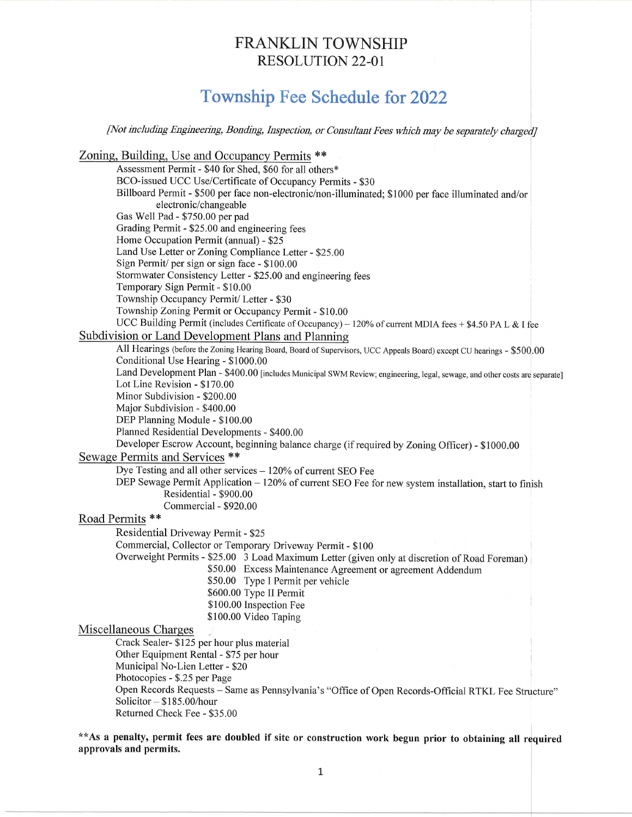## FRANKLIN TOWNSHIP RESOLUTION 22-01

## Township Fee Schedule for 2022

[Not including Engineering, Bonding, Inspection, or Consultant Fees which may be separately

Zoning, Building, Use and Occupancy Permits \*\*

Assessment Permit - \$40 for Shed, \$60 for all others\* BCO-issued UCC Use/Certificate of Occupancy Permits - \$30 Billboard Permit - \$500 per face non-electronic/non-illuminated; \$1000 per face illuminated and/or electronic/changeable Gas Well Pad - \$750.00 per pad Grading Perrnit - \$25.00 and engineering fees Home Occupation Permit (annual) - \$25 Land Use Letter or Zoning Compliance Letter - \$25.00 Sign Permit/ per sign or sign face - \$100.00 Stormwater Consistency Letter - \$25,00 and engineering fees Temporary Sign Permit - \$10.00 Township Occupancy Permit/ Letter - \$30 Township Zoning Permit or Occupancy Permit - \$10.00 UCC Building Permit (includes Certificate of Occupancy) - 120% of current MDIA fees + \$4.50 PA L & I fee Subdivision or Land Development Plans and Planning All Hearings (before the Zoning Hearing Board, Board of Supervisors, UCC Appeals Board) except CU hearings - \$500.00 Conditional Use Hearing - \$1000.00 Land Development Plan - \$400.00 [includes Municipal SWM Review; engineering, legal, sewage, and other costs are separate] Lot Line Revision - S170.00 Minor Subdivision - \$200.00 Major Subdivision - \$400.00 DEP Planning Module - \$100.00 Plamed Residential Developments - \$400.00 Developer Escrow Account, beginning balance charge (if required by Zoning Officer) - \$1000.00 Sewage Permits and Services \*\* Dye Testing and all other services  $-120\%$  of current SEO Fee DEP Sewage Permit Application - 120% of current SEO Fee for new system installation, start to finish Residential - \$900.00 Commercial - \$920.00 Road Perrnits \*\* Residential Driveway Permit - \$25 Commercial, Collector or Temporary Driveway permit - \$100 Overweight Permits - \$25.00 3 Load Maximum Letter (given only at discretion of Road Foreman) \$50.00 Excess Maintenance Agreement or agreement Addendum \$50.00 Type I Permit per vehicle \$600.00 Type II Permit \$100.00 Inspection Fee \$100.00 Video Taping Miscellaneous Charges Crack Sealer- \$125 per hour plus material Other Equipment Rental - \$75 per hour Municipal No-Lien Letter - \$20 Photocopies - \$.25 per Page ' Open Records Requests - Same as Pemsylvania's "Office of Open Records-Official RTKL Fee Structure" Solicitor - \$185.00/hour Returned Check Fee - S35.00

\*\*As a penalty, permit fees are doubled if site or construction work begun prior to obtaining all required approvals and permits.